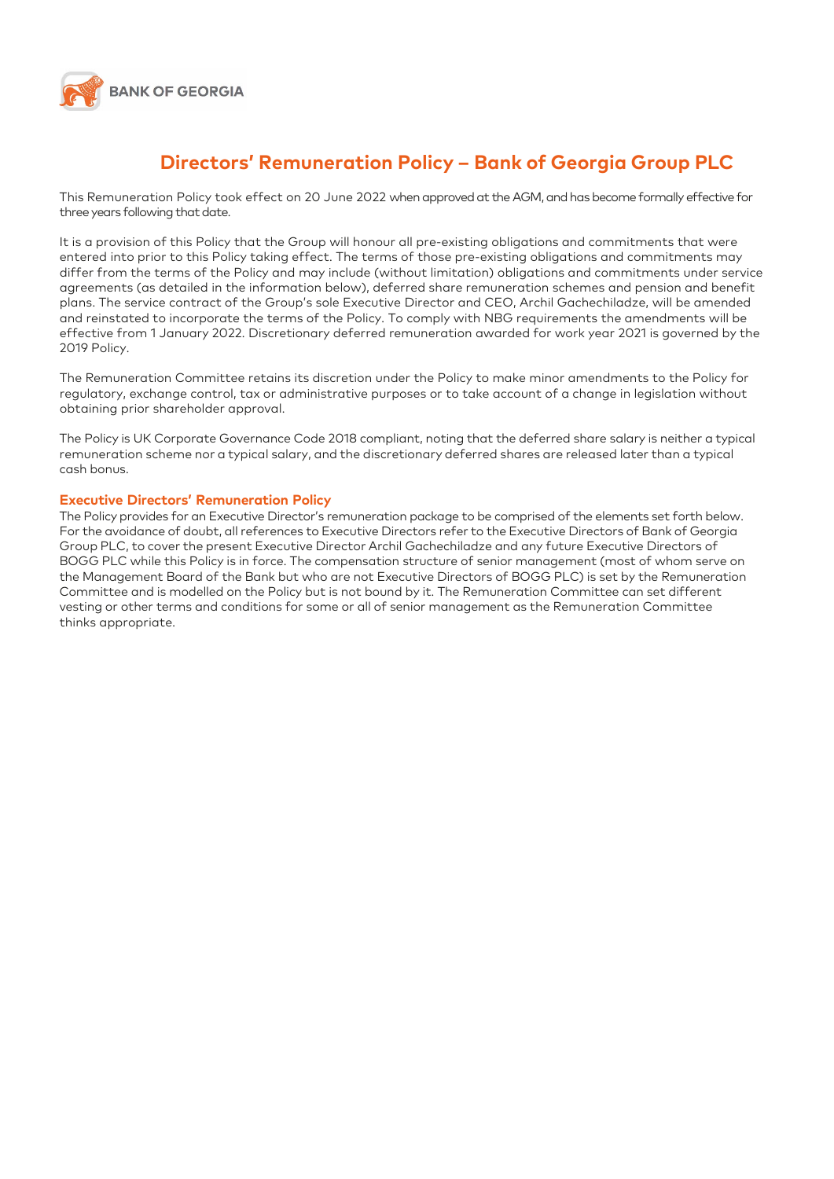

## **Directors' Remuneration Policy – Bank of Georgia Group PLC**

This Remuneration Policy took effect on 20 June 2022 when approved at the AGM, and has become formally effective for three years following that date.

It is a provision of this Policy that the Group will honour all pre-existing obligations and commitments that were entered into prior to this Policy taking effect. The terms of those pre-existing obligations and commitments may differ from the terms of the Policy and may include (without limitation) obligations and commitments under service agreements (as detailed in the information below), deferred share remuneration schemes and pension and benefit plans. The service contract of the Group's sole Executive Director and CEO, Archil Gachechiladze, will be amended and reinstated to incorporate the terms of the Policy. To comply with NBG requirements the amendments will be effective from 1 January 2022. Discretionary deferred remuneration awarded for work year 2021 is governed by the 2019 Policy.

The Remuneration Committee retains its discretion under the Policy to make minor amendments to the Policy for regulatory, exchange control, tax or administrative purposes or to take account of a change in legislation without obtaining prior shareholder approval.

The Policy is UK Corporate Governance Code 2018 compliant, noting that the deferred share salary is neither a typical remuneration scheme nor a typical salary, and the discretionary deferred shares are released later than a typical cash bonus.

#### **Executive Directors' Remuneration Policy**

The Policy provides for an Executive Director's remuneration package to be comprised of the elements set forth below. For the avoidance of doubt, all references to Executive Directors refer to the Executive Directors of Bank of Georgia Group PLC, to cover the present Executive Director Archil Gachechiladze and any future Executive Directors of BOGG PLC while this Policy is in force. The compensation structure of senior management (most of whom serve on the Management Board of the Bank but who are not Executive Directors of BOGG PLC) is set by the Remuneration Committee and is modelled on the Policy but is not bound by it. The Remuneration Committee can set different vesting or other terms and conditions for some or all of senior management as the Remuneration Committee thinks appropriate.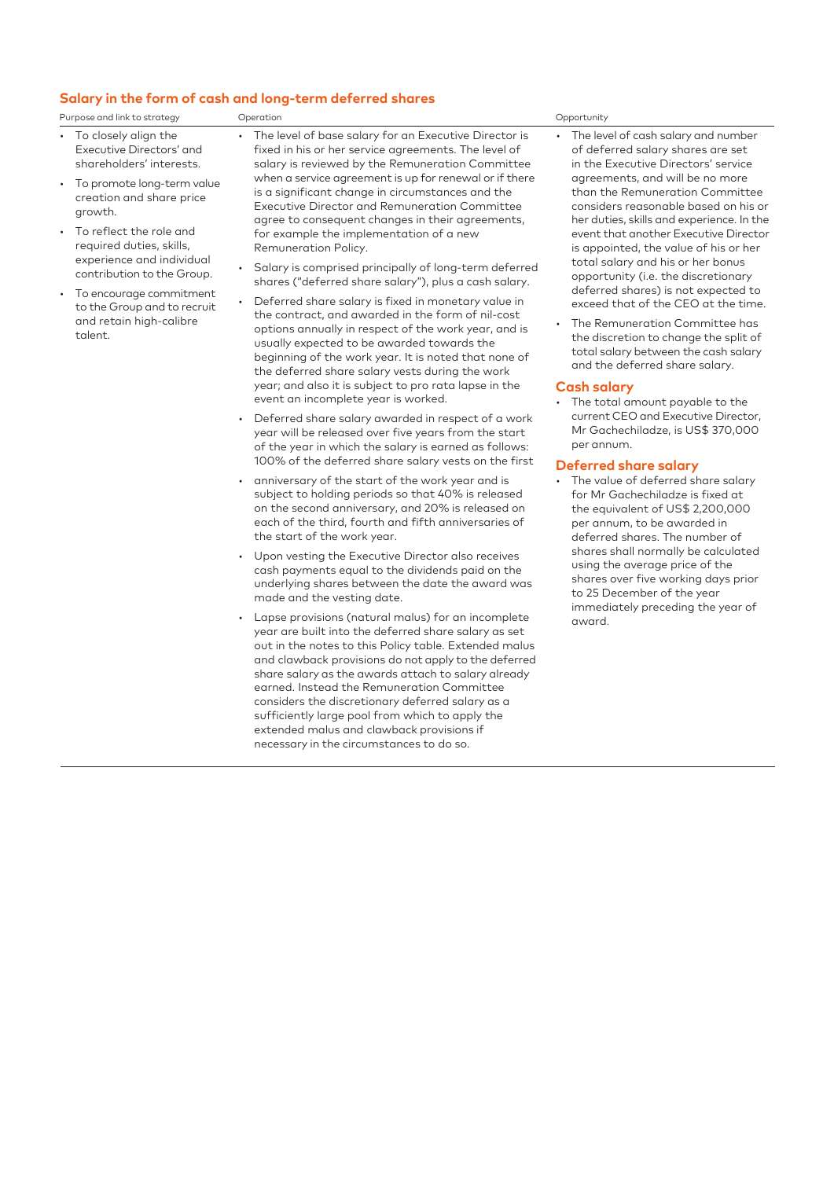### **Salary in the form of cash and long-term deferred shares**

|  | Purpose and link to strategy | Jperation |  | Opportunity |
|--|------------------------------|-----------|--|-------------|
|--|------------------------------|-----------|--|-------------|

- To closely align the Executive Directors' and shareholders' interests.
- To promote long-term value creation and share price growth.
- To reflect the role and required duties, skills, experience and individual contribution to the Group.
- To encourage commitment to the Group and to recruit and retain high-calibre talent.
- The level of base salary for an Executive Director is fixed in his or her service agreements. The level of salary is reviewed by the Remuneration Committee when a service agreement is up for renewal or if there is a significant change in circumstances and the Executive Director and Remuneration Committee agree to consequent changes in their agreements, for example the implementation of a new Remuneration Policy.
	- Salary is comprised principally of long-term deferred shares ("deferred share salary"), plus a cash salary.
- Deferred share salary is fixed in monetary value in the contract, and awarded in the form of nil-cost options annually in respect of the work year, and is usually expected to be awarded towards the beginning of the work year. It is noted that none of the deferred share salary vests during the work year; and also it is subject to pro rata lapse in the event an incomplete year is worked.
- Deferred share salary awarded in respect of a work year will be released over five years from the start of the year in which the salary is earned as follows: 100% of the deferred share salary vests on the first
- anniversary of the start of the work year and is subject to holding periods so that 40% is released on the second anniversary, and 20% is released on each of the third, fourth and fifth anniversaries of the start of the work year.
- Upon vesting the Executive Director also receives cash payments equal to the dividends paid on the underlying shares between the date the award was made and the vesting date.
- Lapse provisions (natural malus) for an incomplete year are built into the deferred share salary as set out in the notes to this Policy table. Extended malus and clawback provisions do not apply to the deferred share salary as the awards attach to salary already earned. Instead the Remuneration Committee considers the discretionary deferred salary as a sufficiently large pool from which to apply the extended malus and clawback provisions if necessary in the circumstances to do so.

- The level of cash salary and number of deferred salary shares are set in the Executive Directors' service agreements, and will be no more than the Remuneration Committee considers reasonable based on his or her duties, skills and experience. In the event that another Executive Director is appointed, the value of his or her total salary and his or her bonus opportunity (i.e. the discretionary deferred shares) is not expected to exceed that of the CEO at the time.
- The Remuneration Committee has the discretion to change the split of total salary between the cash salary and the deferred share salary.

#### **Cash salary**

• The total amount payable to the current CEO and Executive Director, Mr Gachechiladze, is US\$ 370,000 per annum.

#### **Deferred share salary**

• The value of deferred share salary for Mr Gachechiladze is fixed at the equivalent of US\$ 2,200,000 per annum, to be awarded in deferred shares. The number of shares shall normally be calculated using the average price of the shares over five working days prior to 25 December of the year immediately preceding the year of award.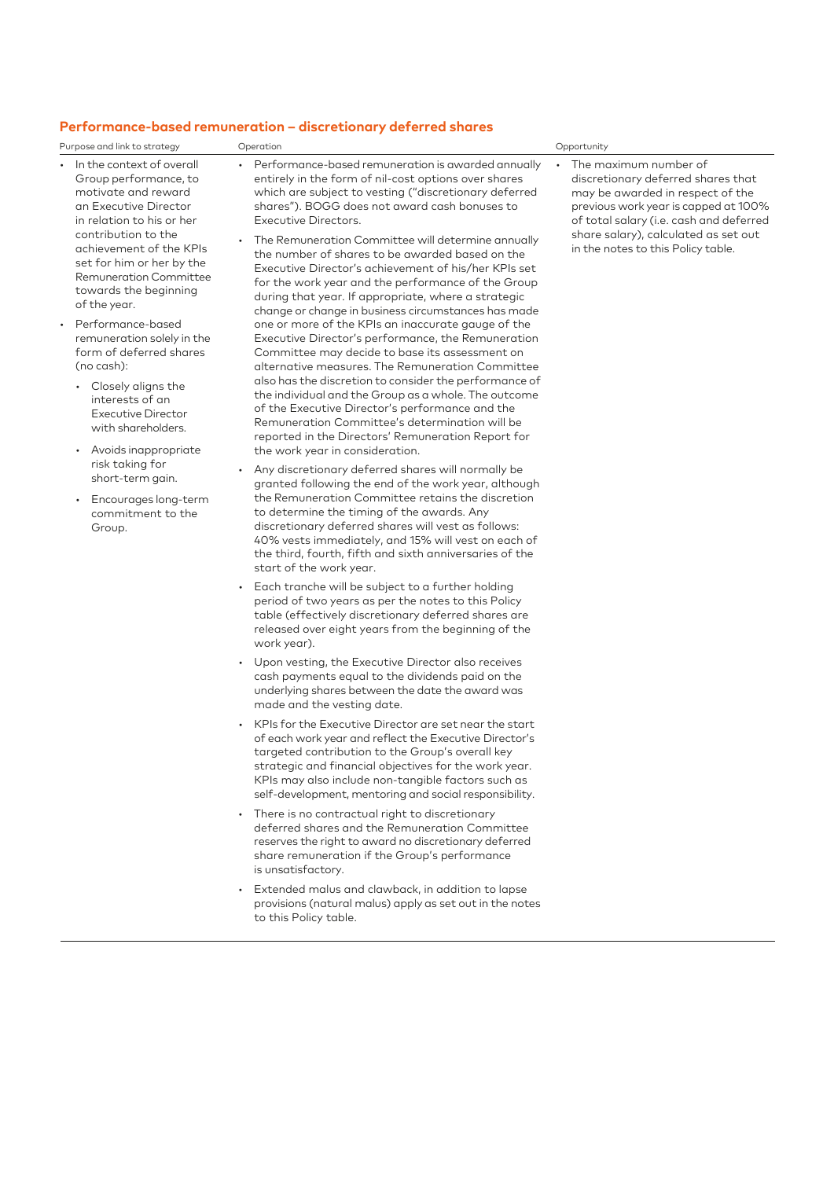#### **Performance-based remuneration – discretionary deferred shares**

Purpose and link to strategy Operation Opportunity

- In the context of overall Group performance, to motivate and reward an Executive Director in relation to his or her contribution to the achievement of the KPIs set for him or her by the Remuneration Committee towards the beginning of the year.
- Performance-based remuneration solely in the form of deferred shares (no cash):
	- Closely aligns the interests of an Executive Director with shareholders.
	- Avoids inappropriate risk taking for short-term gain.
	- Encourages long-term commitment to the Group.
- Performance-based remuneration is awarded annually entirely in the form of nil-cost options over shares which are subject to vesting ("discretionary deferred shares"). BOGG does not award cash bonuses to Executive Directors.
- The Remuneration Committee will determine annually the number of shares to be awarded based on the Executive Director's achievement of his/her KPIs set for the work year and the performance of the Group during that year. If appropriate, where a strategic change or change in business circumstances has made one or more of the KPIs an inaccurate gauge of the Executive Director's performance, the Remuneration Committee may decide to base its assessment on alternative measures. The Remuneration Committee also has the discretion to consider the performance of the individual and the Group as a whole. The outcome of the Executive Director's performance and the Remuneration Committee's determination will be reported in the Directors' Remuneration Report for the work year in consideration.
- Any discretionary deferred shares will normally be granted following the end of the work year, although the Remuneration Committee retains the discretion to determine the timing of the awards. Any discretionary deferred shares will vest as follows: 40% vests immediately, and 15% will vest on each of the third, fourth, fifth and sixth anniversaries of the start of the work year.
- Each tranche will be subject to a further holding period of two years as per the notes to this Policy table (effectively discretionary deferred shares are released over eight years from the beginning of the work year).
- Upon vesting, the Executive Director also receives cash payments equal to the dividends paid on the underlying shares between the date the award was made and the vesting date.
- KPIs for the Executive Director are set near the start of each work year and reflect the Executive Director's targeted contribution to the Group's overall key strategic and financial objectives for the work year. KPIs may also include non-tangible factors such as self-development, mentoring and social responsibility.
- There is no contractual right to discretionary deferred shares and the Remuneration Committee reserves the right to award no discretionary deferred share remuneration if the Group's performance is unsatisfactory.
- Extended malus and clawback, in addition to lapse provisions (natural malus) apply as set out in the notes to this Policy table.

• The maximum number of discretionary deferred shares that may be awarded in respect of the previous work year is capped at 100% of total salary (i.e. cash and deferred share salary), calculated as set out in the notes to this Policy table.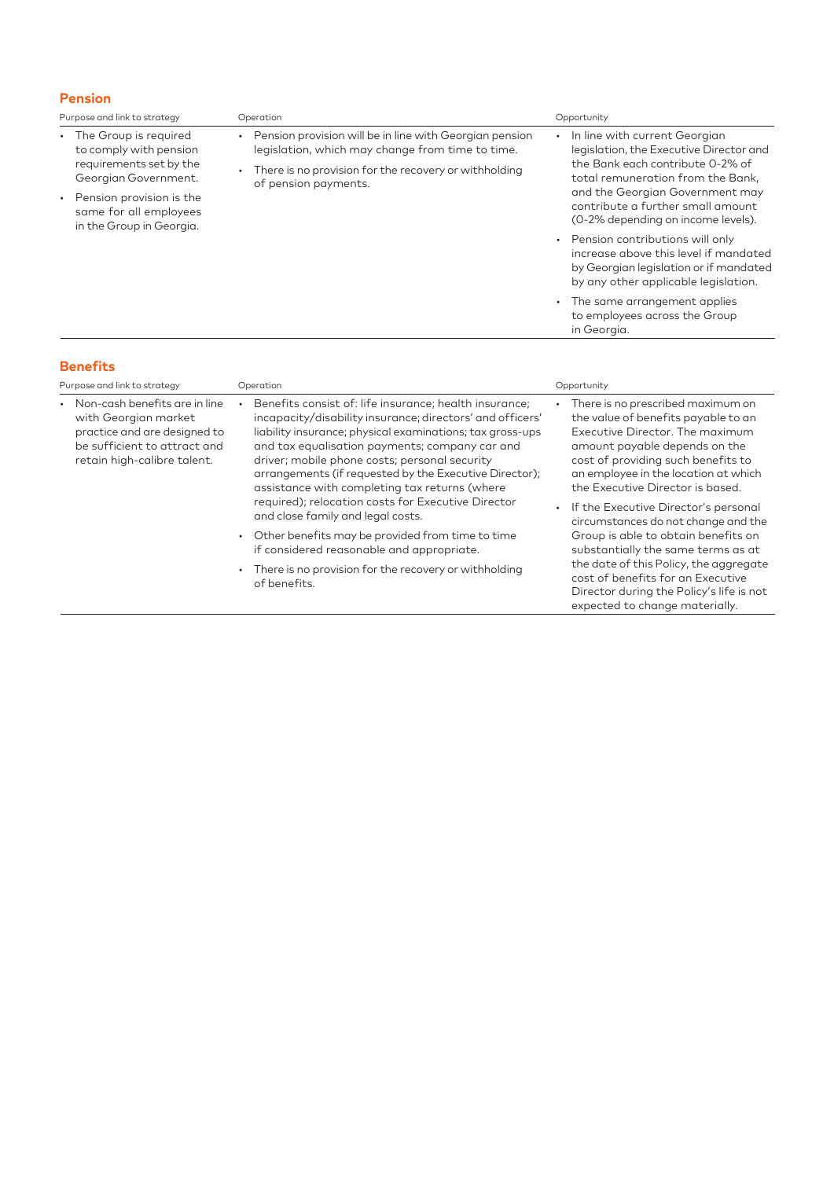#### **Pension**

| Purpose and link to strategy                                                                                                                                                           | Operation                                                                                                                                                                                                                                                                                                                                                                                                                                            | Opportunity                                                                                                                                                                                                                                                                                            |
|----------------------------------------------------------------------------------------------------------------------------------------------------------------------------------------|------------------------------------------------------------------------------------------------------------------------------------------------------------------------------------------------------------------------------------------------------------------------------------------------------------------------------------------------------------------------------------------------------------------------------------------------------|--------------------------------------------------------------------------------------------------------------------------------------------------------------------------------------------------------------------------------------------------------------------------------------------------------|
| • The Group is required<br>to comply with pension<br>requirements set by the<br>Georgian Government.<br>Pension provision is the<br>same for all employees<br>in the Group in Georgia. | Pension provision will be in line with Georgian pension<br>$\bullet$<br>legislation, which may change from time to time.<br>There is no provision for the recovery or withholding<br>of pension payments.                                                                                                                                                                                                                                            | In line with current Georgian<br>$\bullet$<br>legislation, the Executive Director and<br>the Bank each contribute 0-2% of<br>total remuneration from the Bank,<br>and the Georgian Government may<br>contribute a further small amount<br>(0-2% depending on income levels).                           |
|                                                                                                                                                                                        |                                                                                                                                                                                                                                                                                                                                                                                                                                                      | Pension contributions will only<br>$\bullet$<br>increase above this level if mandated<br>by Georgian legislation or if mandated<br>by any other applicable legislation.                                                                                                                                |
|                                                                                                                                                                                        |                                                                                                                                                                                                                                                                                                                                                                                                                                                      | The same arrangement applies<br>$\bullet$<br>to employees across the Group<br>in Georgia.                                                                                                                                                                                                              |
| <b>Benefits</b><br>Purpose and link to strategy                                                                                                                                        | Operation                                                                                                                                                                                                                                                                                                                                                                                                                                            | Opportunity                                                                                                                                                                                                                                                                                            |
| Non-cash benefits are in line<br>with Georgian market<br>practice and are designed to<br>be sufficient to attract and<br>retain high-calibre talent.                                   | Benefits consist of: life insurance; health insurance;<br>incapacity/disability insurance; directors' and officers'<br>liability insurance; physical examinations; tax gross-ups<br>and tax equalisation payments; company car and<br>driver; mobile phone costs; personal security<br>arrangements (if requested by the Executive Director);<br>assistance with completing tax returns (where<br>required); relocation costs for Executive Director | There is no prescribed maximum on<br>the value of benefits payable to an<br>Executive Director. The maximum<br>amount payable depends on the<br>cost of providing such benefits to<br>an employee in the location at which<br>the Executive Director is based.<br>If the Evecutive Director's nersonal |

and close family and legal costs.

of benefits.

• Other benefits may be provided from time to time if considered reasonable and appropriate. • There is no provision for the recovery or withholding • If the Executive Director's personal circumstances do not change and the Group is able to obtain benefits on substantially the same terms as at the date of this Policy, the aggregate cost of benefits for an Executive Director during the Policy's life is not expected to change materially.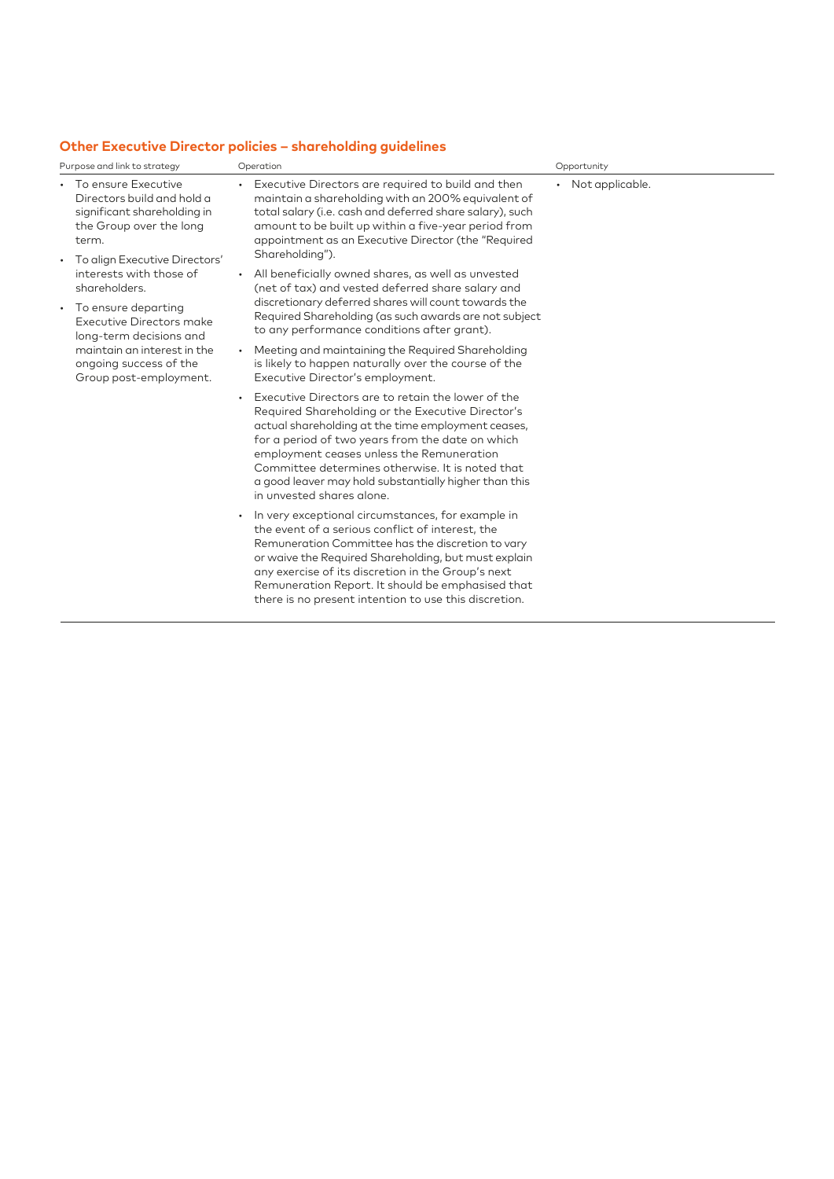## **Other Executive Director policies – shareholding guidelines**

|                                                                                                                                                                 | Purpose and link to strategy                                                                                                                   | Operation                                                                                                                                                                                                                                                                                                                                                                                                | Opportunity       |
|-----------------------------------------------------------------------------------------------------------------------------------------------------------------|------------------------------------------------------------------------------------------------------------------------------------------------|----------------------------------------------------------------------------------------------------------------------------------------------------------------------------------------------------------------------------------------------------------------------------------------------------------------------------------------------------------------------------------------------------------|-------------------|
| term.<br>$\bullet$                                                                                                                                              | • To ensure Executive<br>Directors build and hold a<br>significant shareholding in<br>the Group over the long<br>To align Executive Directors' | Executive Directors are required to build and then<br>maintain a shareholding with an 200% equivalent of<br>total salary (i.e. cash and deferred share salary), such<br>amount to be built up within a five-year period from<br>appointment as an Executive Director (the "Required<br>Shareholding").                                                                                                   | • Not applicable. |
|                                                                                                                                                                 | interests with those of<br>shareholders.                                                                                                       | • All beneficially owned shares, as well as unvested<br>(net of tax) and vested deferred share salary and<br>discretionary deferred shares will count towards the                                                                                                                                                                                                                                        |                   |
| • To ensure departing<br>Executive Directors make<br>long-term decisions and<br>maintain an interest in the<br>ongoing success of the<br>Group post-employment. | Required Shareholding (as such awards are not subject<br>to any performance conditions after grant).                                           |                                                                                                                                                                                                                                                                                                                                                                                                          |                   |
|                                                                                                                                                                 |                                                                                                                                                | Meeting and maintaining the Required Shareholding<br>is likely to happen naturally over the course of the<br>Executive Director's employment.                                                                                                                                                                                                                                                            |                   |
|                                                                                                                                                                 |                                                                                                                                                | Executive Directors are to retain the lower of the<br>Required Shareholding or the Executive Director's<br>actual shareholding at the time employment ceases,<br>for a period of two years from the date on which<br>employment ceases unless the Remuneration<br>Committee determines otherwise. It is noted that<br>a good leaver may hold substantially higher than this<br>in unvested shares alone. |                   |
|                                                                                                                                                                 |                                                                                                                                                | In very exceptional circumstances, for example in<br>$\bullet$<br>the event of a serious conflict of interest, the<br>Remuneration Committee has the discretion to vary<br>or waive the Required Shareholding, but must explain<br>any exercise of its discretion in the Group's next<br>Remuneration Report. It should be emphasised that<br>there is no present intention to use this discretion.      |                   |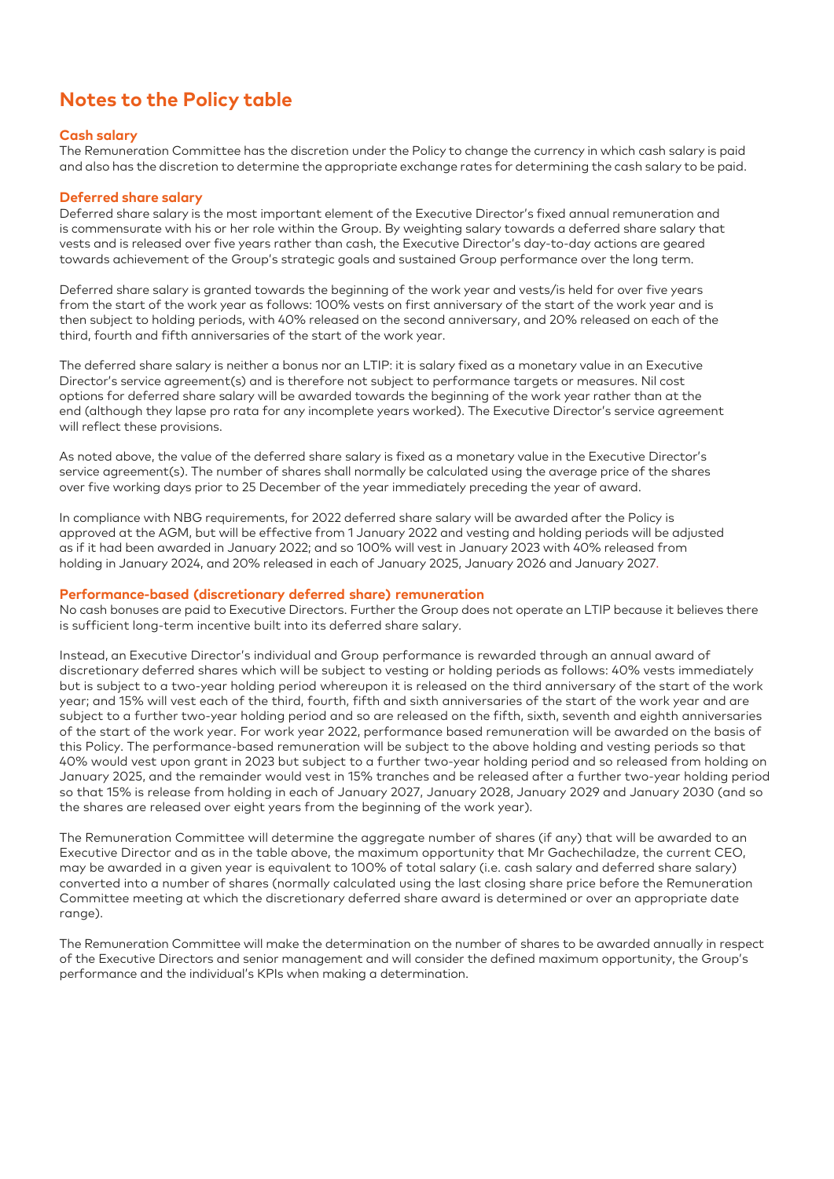# **Notes to the Policy table**

#### **Cash salary**

The Remuneration Committee has the discretion under the Policy to change the currency in which cash salary is paid and also has the discretion to determine the appropriate exchange rates for determining the cash salary to be paid.

#### **Deferred share salary**

Deferred share salary is the most important element of the Executive Director's fixed annual remuneration and is commensurate with his or her role within the Group. By weighting salary towards a deferred share salary that vests and is released over five years rather than cash, the Executive Director's day-to-day actions are geared towards achievement of the Group's strategic goals and sustained Group performance over the long term.

Deferred share salary is granted towards the beginning of the work year and vests/is held for over five years from the start of the work year as follows: 100% vests on first anniversary of the start of the work year and is then subject to holding periods, with 40% released on the second anniversary, and 20% released on each of the third, fourth and fifth anniversaries of the start of the work year.

The deferred share salary is neither a bonus nor an LTIP: it is salary fixed as a monetary value in an Executive Director's service agreement(s) and is therefore not subject to performance targets or measures. Nil cost options for deferred share salary will be awarded towards the beginning of the work year rather than at the end (although they lapse pro rata for any incomplete years worked). The Executive Director's service agreement will reflect these provisions.

As noted above, the value of the deferred share salary is fixed as a monetary value in the Executive Director's service agreement(s). The number of shares shall normally be calculated using the average price of the shares over five working days prior to 25 December of the year immediately preceding the year of award.

In compliance with NBG requirements, for 2022 deferred share salary will be awarded after the Policy is approved at the AGM, but will be effective from 1 January 2022 and vesting and holding periods will be adjusted as if it had been awarded in January 2022; and so 100% will vest in January 2023 with 40% released from holding in January 2024, and 20% released in each of January 2025, January 2026 and January 2027.

#### **Performance-based (discretionary deferred share) remuneration**

No cash bonuses are paid to Executive Directors. Further the Group does not operate an LTIP because it believes there is sufficient long-term incentive built into its deferred share salary.

Instead, an Executive Director's individual and Group performance is rewarded through an annual award of discretionary deferred shares which will be subject to vesting or holding periods as follows: 40% vests immediately but is subject to a two-year holding period whereupon it is released on the third anniversary of the start of the work year; and 15% will vest each of the third, fourth, fifth and sixth anniversaries of the start of the work year and are subject to a further two-year holding period and so are released on the fifth, sixth, seventh and eighth anniversaries of the start of the work year. For work year 2022, performance based remuneration will be awarded on the basis of this Policy. The performance-based remuneration will be subject to the above holding and vesting periods so that 40% would vest upon grant in 2023 but subject to a further two-year holding period and so released from holding on January 2025, and the remainder would vest in 15% tranches and be released after a further two-year holding period so that 15% is release from holding in each of January 2027, January 2028, January 2029 and January 2030 (and so the shares are released over eight years from the beginning of the work year).

The Remuneration Committee will determine the aggregate number of shares (if any) that will be awarded to an Executive Director and as in the table above, the maximum opportunity that Mr Gachechiladze, the current CEO, may be awarded in a given year is equivalent to 100% of total salary (i.e. cash salary and deferred share salary) converted into a number of shares (normally calculated using the last closing share price before the Remuneration Committee meeting at which the discretionary deferred share award is determined or over an appropriate date range).

The Remuneration Committee will make the determination on the number of shares to be awarded annually in respect of the Executive Directors and senior management and will consider the defined maximum opportunity, the Group's performance and the individual's KPIs when making a determination.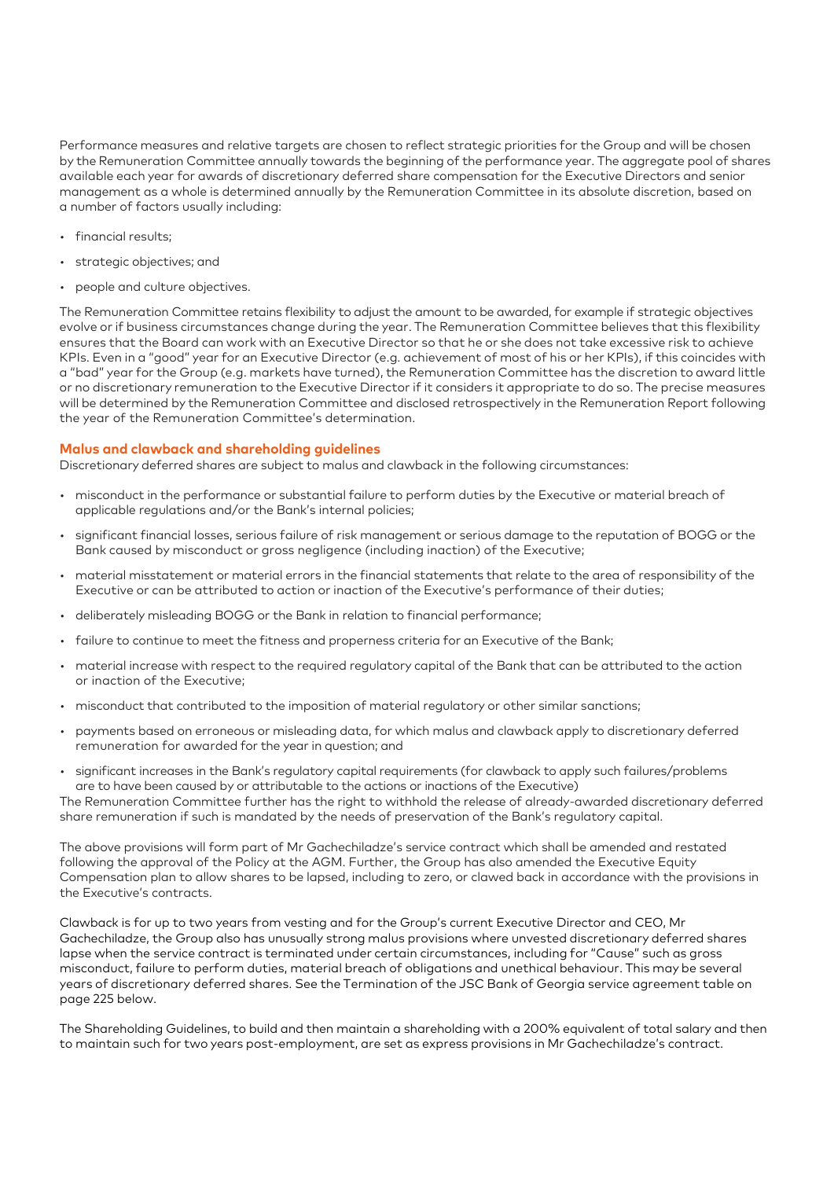Performance measures and relative targets are chosen to reflect strategic priorities for the Group and will be chosen by the Remuneration Committee annually towards the beginning of the performance year. The aggregate pool of shares available each year for awards of discretionary deferred share compensation for the Executive Directors and senior management as a whole is determined annually by the Remuneration Committee in its absolute discretion, based on a number of factors usually including:

- financial results;
- strategic objectives; and
- people and culture objectives.

The Remuneration Committee retains flexibility to adjust the amount to be awarded, for example if strategic objectives evolve or if business circumstances change during the year. The Remuneration Committee believes that this flexibility ensures that the Board can work with an Executive Director so that he or she does not take excessive risk to achieve KPIs. Even in a "good" year for an Executive Director (e.g. achievement of most of his or her KPIs), if this coincides with a "bad" year for the Group (e.g. markets have turned), the Remuneration Committee has the discretion to award little or no discretionary remuneration to the Executive Director if it considers it appropriate to do so. The precise measures will be determined by the Remuneration Committee and disclosed retrospectively in the Remuneration Report following the year of the Remuneration Committee's determination.

#### **Malus and clawback and shareholding guidelines**

Discretionary deferred shares are subject to malus and clawback in the following circumstances:

- misconduct in the performance or substantial failure to perform duties by the Executive or material breach of applicable regulations and/or the Bank's internal policies;
- significant financial losses, serious failure of risk management or serious damage to the reputation of BOGG or the Bank caused by misconduct or gross negligence (including inaction) of the Executive;
- material misstatement or material errors in the financial statements that relate to the area of responsibility of the Executive or can be attributed to action or inaction of the Executive's performance of their duties;
- deliberately misleading BOGG or the Bank in relation to financial performance;
- failure to continue to meet the fitness and properness criteria for an Executive of the Bank;
- material increase with respect to the required regulatory capital of the Bank that can be attributed to the action or inaction of the Executive;
- misconduct that contributed to the imposition of material regulatory or other similar sanctions;
- payments based on erroneous or misleading data, for which malus and clawback apply to discretionary deferred remuneration for awarded for the year in question; and
- significant increases in the Bank's regulatory capital requirements (for clawback to apply such failures/problems are to have been caused by or attributable to the actions or inactions of the Executive)

The Remuneration Committee further has the right to withhold the release of already-awarded discretionary deferred share remuneration if such is mandated by the needs of preservation of the Bank's regulatory capital.

The above provisions will form part of Mr Gachechiladze's service contract which shall be amended and restated following the approval of the Policy at the AGM. Further, the Group has also amended the Executive Equity Compensation plan to allow shares to be lapsed, including to zero, or clawed back in accordance with the provisions in the Executive's contracts.

Clawback is for up to two years from vesting and for the Group's current Executive Director and CEO, Mr Gachechiladze, the Group also has unusually strong malus provisions where unvested discretionary deferred shares lapse when the service contract is terminated under certain circumstances, including for "Cause" such as gross misconduct, failure to perform duties, material breach of obligations and unethical behaviour. This may be several years of discretionary deferred shares. See the Termination of the JSC Bank of Georgia service agreement table on page 225 below.

The Shareholding Guidelines, to build and then maintain a shareholding with a 200% equivalent of total salary and then to maintain such for two years post-employment, are set as express provisions in Mr Gachechiladze's contract.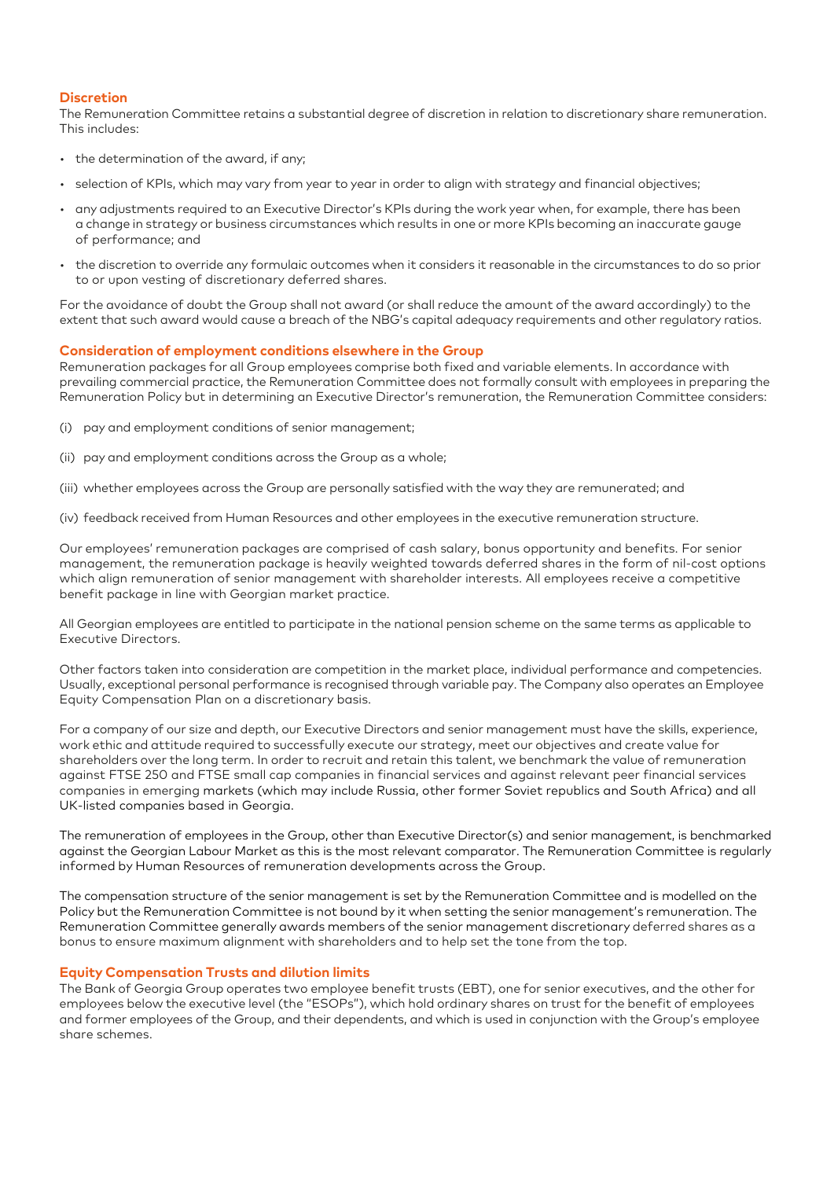#### **Discretion**

The Remuneration Committee retains a substantial degree of discretion in relation to discretionary share remuneration. This includes:

- the determination of the award, if any;
- selection of KPIs, which may vary from year to year in order to align with strategy and financial objectives;
- any adjustments required to an Executive Director's KPIs during the work year when, for example, there has been a change in strategy or business circumstances which results in one or more KPIs becoming an inaccurate gauge of performance; and
- the discretion to override any formulaic outcomes when it considers it reasonable in the circumstances to do so prior to or upon vesting of discretionary deferred shares.

For the avoidance of doubt the Group shall not award (or shall reduce the amount of the award accordingly) to the extent that such award would cause a breach of the NBG's capital adequacy requirements and other regulatory ratios.

#### **Consideration of employment conditions elsewhere in the Group**

Remuneration packages for all Group employees comprise both fixed and variable elements. In accordance with prevailing commercial practice, the Remuneration Committee does not formally consult with employees in preparing the Remuneration Policy but in determining an Executive Director's remuneration, the Remuneration Committee considers:

- (i) pay and employment conditions of senior management;
- (ii) pay and employment conditions across the Group as a whole;
- (iii) whether employees across the Group are personally satisfied with the way they are remunerated; and
- (iv) feedback received from Human Resources and other employees in the executive remuneration structure.

Our employees' remuneration packages are comprised of cash salary, bonus opportunity and benefits. For senior management, the remuneration package is heavily weighted towards deferred shares in the form of nil-cost options which align remuneration of senior management with shareholder interests. All employees receive a competitive benefit package in line with Georgian market practice.

All Georgian employees are entitled to participate in the national pension scheme on the same terms as applicable to Executive Directors.

Other factors taken into consideration are competition in the market place, individual performance and competencies. Usually, exceptional personal performance is recognised through variable pay. The Company also operates an Employee Equity Compensation Plan on a discretionary basis.

For a company of our size and depth, our Executive Directors and senior management must have the skills, experience, work ethic and attitude required to successfully execute our strategy, meet our objectives and create value for shareholders over the long term. In order to recruit and retain this talent, we benchmark the value of remuneration against FTSE 250 and FTSE small cap companies in financial services and against relevant peer financial services companies in emerging markets (which may include Russia, other former Soviet republics and South Africa) and all UK-listed companies based in Georgia.

The remuneration of employees in the Group, other than Executive Director(s) and senior management, is benchmarked against the Georgian Labour Market as this is the most relevant comparator. The Remuneration Committee is regularly informed by Human Resources of remuneration developments across the Group.

The compensation structure of the senior management is set by the Remuneration Committee and is modelled on the Policy but the Remuneration Committee is not bound by it when setting the senior management's remuneration. The Remuneration Committee generally awards members of the senior management discretionary deferred shares as a bonus to ensure maximum alignment with shareholders and to help set the tone from the top.

#### **Equity Compensation Trusts and dilution limits**

The Bank of Georgia Group operates two employee benefit trusts (EBT), one for senior executives, and the other for employees below the executive level (the "ESOPs"), which hold ordinary shares on trust for the benefit of employees and former employees of the Group, and their dependents, and which is used in conjunction with the Group's employee share schemes.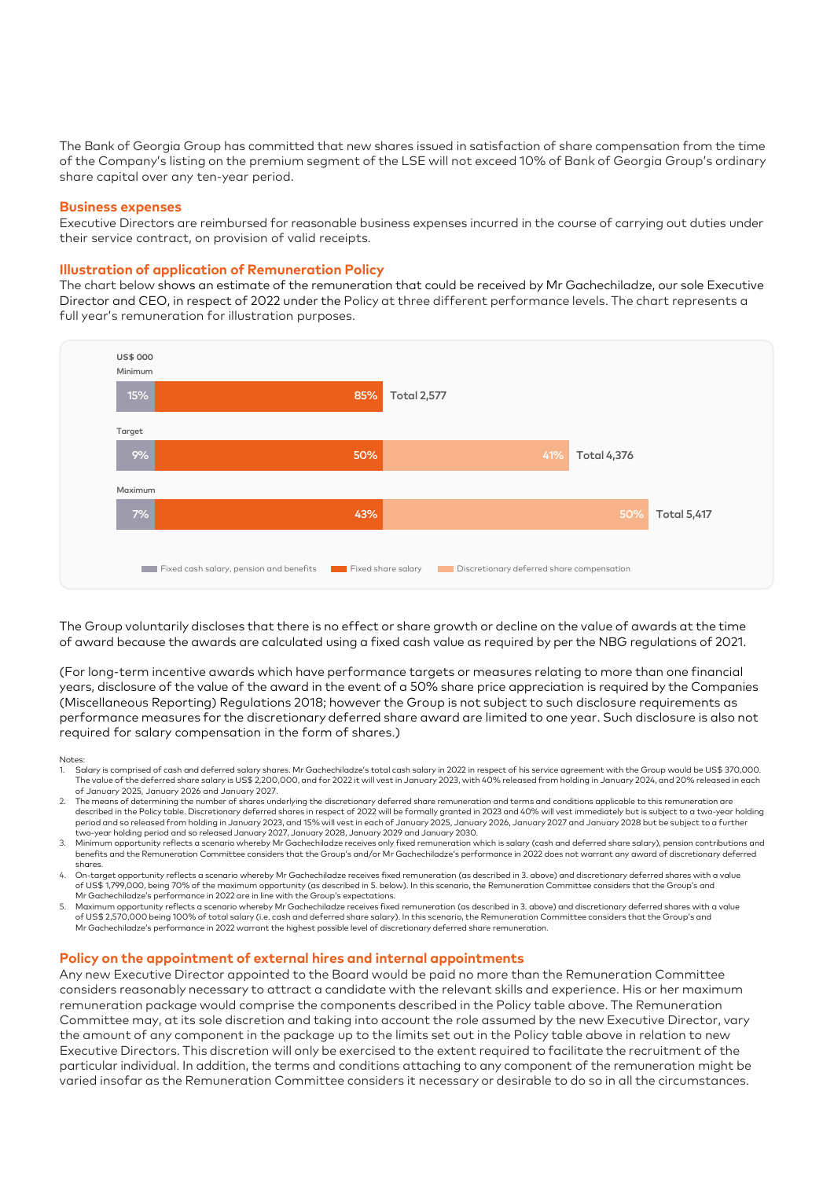The Bank of Georgia Group has committed that new shares issued in satisfaction of share compensation from the time of the Company's listing on the premium segment of the LSE will not exceed 10% of Bank of Georgia Group's ordinary share capital over any ten-year period.

#### **Business expenses**

Executive Directors are reimbursed for reasonable business expenses incurred in the course of carrying out duties under their service contract, on provision of valid receipts.

#### **Illustration of application of Remuneration Policy**

The chart below shows an estimate of the remuneration that could be received by Mr Gachechiladze, our sole Executive Director and CEO, in respect of 2022 under the Policy at three different performance levels. The chart represents a full year's remuneration for illustration purposes.



The Group voluntarily discloses that there is no effect or share growth or decline on the value of awards at the time of award because the awards are calculated using a fixed cash value as required by per the NBG regulations of 2021.

(For long-term incentive awards which have performance targets or measures relating to more than one financial years, disclosure of the value of the award in the event of a 50% share price appreciation is required by the Companies (Miscellaneous Reporting) Regulations 2018; however the Group is not subject to such disclosure requirements as performance measures for the discretionary deferred share award are limited to one year. Such disclosure is also not required for salary compensation in the form of shares.)

#### Notes:

- 1. Salary is comprised of cash and deferred salary shares. Mr Gachechiladze's total cash salary in 2022 in respect of his service agreement with the Group would be US\$ 370,000. The value of the deferred share salary is US\$ 2,200,000, and for 2022 it will vest in January 2023, with 40% released from holding in January 2024, and 20% released in each of January 2025, January 2026 and January 2027.
- 2. The means of determining the number of shares underlying the discretionary deferred share remuneration and terms and conditions applicable to this remuneration are described in the Policy table. Discretionary deferred shares in respect of 2022 will be formally granted in 2023 and 40% will vest immediately but is subject to a two-year holding<br>period and so released from holding in Jan two-year holding period and so released January 2027, January 2028, January 2029 and January 2030.
- 3. Minimum opportunity reflects a scenario whereby Mr Gachechiladze receives only fixed remuneration which is salary (cash and deferred share salary), pension contributions and<br>benefits and the Remuneration Committee consi shares.
- 4. On-target opportunity reflects a scenario whereby Mr Gachechiladze receives fixed remuneration (as described in 3. above) and discretionary deferred shares with a value of US\$ 1,799,000, being 70% of the maximum opportunity (as described in 5. below). In this scenario, the Remuneration Committee considers that the Group's and Mr Gachechiladze's performance in 2022 are in line with the Group's expectations.
- 5. Maximum opportunity reflects a scenario whereby Mr Gachechiladze receives fixed remuneration (as described in 3. above) and discretionary deferred shares with a value of US\$ 2,570,000 being 100% of total salary (i.e. cash and deferred share salary). In this scenario, the Remuneration Committee considers that the Group's and Mr Gachechiladze's performance in 2022 warrant the highest possible level of discretionary deferred share remuneration.

#### **Policy on the appointment of external hires and internal appointments**

Any new Executive Director appointed to the Board would be paid no more than the Remuneration Committee considers reasonably necessary to attract a candidate with the relevant skills and experience. His or her maximum remuneration package would comprise the components described in the Policy table above. The Remuneration Committee may, at its sole discretion and taking into account the role assumed by the new Executive Director, vary the amount of any component in the package up to the limits set out in the Policy table above in relation to new Executive Directors. This discretion will only be exercised to the extent required to facilitate the recruitment of the particular individual. In addition, the terms and conditions attaching to any component of the remuneration might be varied insofar as the Remuneration Committee considers it necessary or desirable to do so in all the circumstances.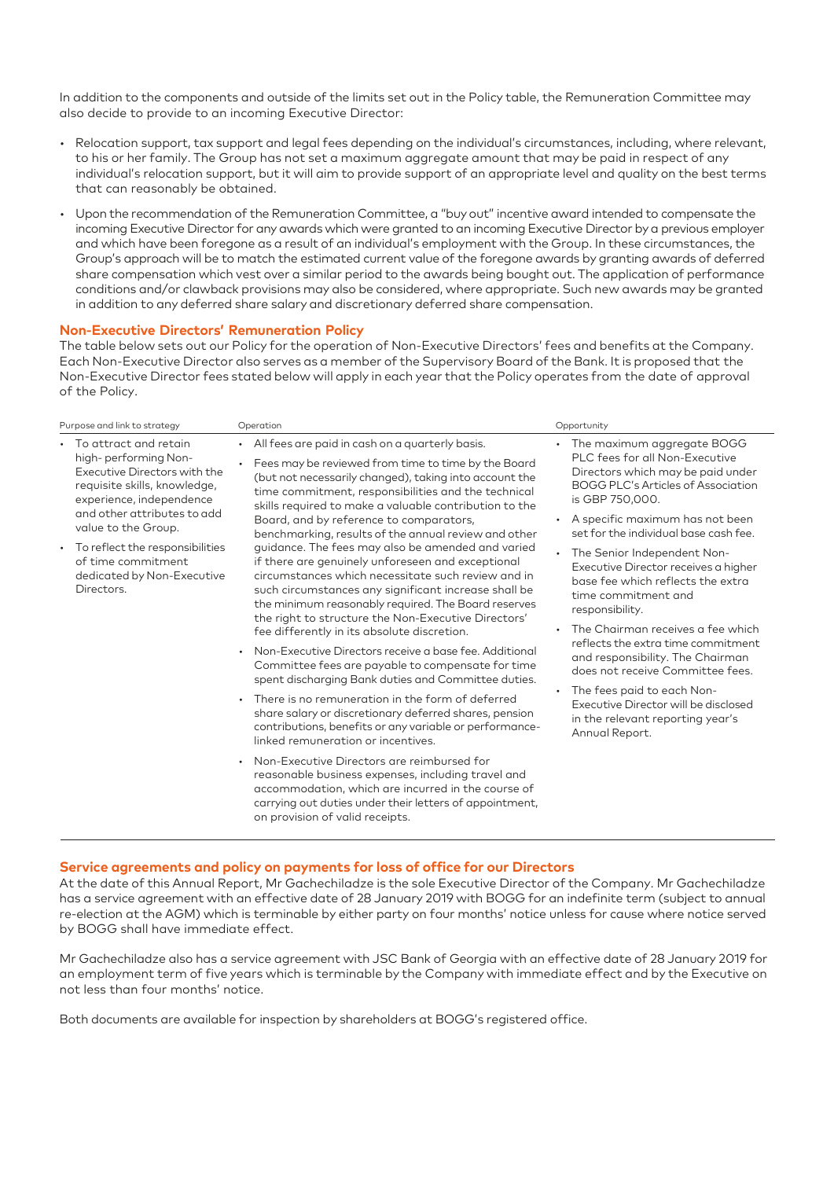In addition to the components and outside of the limits set out in the Policy table, the Remuneration Committee may also decide to provide to an incoming Executive Director:

- Relocation support, tax support and legal fees depending on the individual's circumstances, including, where relevant, to his or her family. The Group has not set a maximum aggregate amount that may be paid in respect of any individual's relocation support, but it will aim to provide support of an appropriate level and quality on the best terms that can reasonably be obtained.
- Upon the recommendation of the Remuneration Committee, a "buy out" incentive award intended to compensate the incoming Executive Director for any awards which were granted to an incoming Executive Director by a previous employer and which have been foregone as a result of an individual's employment with the Group. In these circumstances, the Group's approach will be to match the estimated current value of the foregone awards by granting awards of deferred share compensation which vest over a similar period to the awards being bought out. The application of performance conditions and/or clawback provisions may also be considered, where appropriate. Such new awards may be granted in addition to any deferred share salary and discretionary deferred share compensation.

#### **Non-Executive Directors' Remuneration Policy**

The table below sets out our Policy for the operation of Non-Executive Directors' fees and benefits at the Company. Each Non-Executive Director also serves as a member of the Supervisory Board of the Bank. It is proposed that the Non-Executive Director fees stated below will apply in each year that the Policy operates from the date of approval of the Policy.

| Purpose and link to strategy                                                                                                                                                                      | Operation                                                                                                                                                                                                                                                                                                                                                                                                                                                                                                                                                                                                                                                                                                                                                                                                                                                                                                                                                                                                                      | Opportunity                                                                                                                                                                                                                                                                                                                                                                                                                                                 |
|---------------------------------------------------------------------------------------------------------------------------------------------------------------------------------------------------|--------------------------------------------------------------------------------------------------------------------------------------------------------------------------------------------------------------------------------------------------------------------------------------------------------------------------------------------------------------------------------------------------------------------------------------------------------------------------------------------------------------------------------------------------------------------------------------------------------------------------------------------------------------------------------------------------------------------------------------------------------------------------------------------------------------------------------------------------------------------------------------------------------------------------------------------------------------------------------------------------------------------------------|-------------------------------------------------------------------------------------------------------------------------------------------------------------------------------------------------------------------------------------------------------------------------------------------------------------------------------------------------------------------------------------------------------------------------------------------------------------|
| • To attract and retain<br>high-performing Non-<br>Executive Directors with the<br>requisite skills, knowledge,<br>experience, independence<br>and other attributes to add<br>value to the Group. | All fees are paid in cash on a quarterly basis.<br>Fees may be reviewed from time to time by the Board<br>(but not necessarily changed), taking into account the<br>time commitment, responsibilities and the technical<br>skills required to make a valuable contribution to the<br>Board, and by reference to comparators,<br>benchmarking, results of the annual review and other                                                                                                                                                                                                                                                                                                                                                                                                                                                                                                                                                                                                                                           | The maximum aggregate BOGG<br>٠<br>PLC fees for all Non-Executive<br>Directors which may be paid under<br><b>BOGG PLC's Articles of Association</b><br>is GBP 750,000.<br>A specific maximum has not been<br>set for the individual base cash fee.                                                                                                                                                                                                          |
| • To reflect the responsibilities<br>of time commitment<br>dedicated by Non-Executive<br>Directors.                                                                                               | guidance. The fees may also be amended and varied<br>if there are genuinely unforeseen and exceptional<br>circumstances which necessitate such review and in<br>such circumstances any significant increase shall be<br>the minimum reasonably required. The Board reserves<br>the right to structure the Non-Executive Directors'<br>fee differently in its absolute discretion.<br>Non-Executive Directors receive a base fee. Additional<br>Committee fees are payable to compensate for time<br>spent discharging Bank duties and Committee duties.<br>There is no remuneration in the form of deferred<br>share salary or discretionary deferred shares, pension<br>contributions, benefits or any variable or performance-<br>linked remuneration or incentives.<br>Non-Executive Directors are reimbursed for<br>reasonable business expenses, including travel and<br>accommodation, which are incurred in the course of<br>carrying out duties under their letters of appointment,<br>on provision of valid receipts. | The Senior Independent Non-<br>Executive Director receives a higher<br>base fee which reflects the extra<br>time commitment and<br>responsibility.<br>The Chairman receives a fee which<br>$\bullet$<br>reflects the extra time commitment<br>and responsibility. The Chairman<br>does not receive Committee fees.<br>The fees paid to each Non-<br>$\bullet$<br>Executive Director will be disclosed<br>in the relevant reporting year's<br>Annual Report. |
|                                                                                                                                                                                                   |                                                                                                                                                                                                                                                                                                                                                                                                                                                                                                                                                                                                                                                                                                                                                                                                                                                                                                                                                                                                                                |                                                                                                                                                                                                                                                                                                                                                                                                                                                             |

#### **Service agreements and policy on payments for loss of office for our Directors**

At the date of this Annual Report, Mr Gachechiladze is the sole Executive Director of the Company. Mr Gachechiladze has a service agreement with an effective date of 28 January 2019 with BOGG for an indefinite term (subject to annual re-election at the AGM) which is terminable by either party on four months' notice unless for cause where notice served by BOGG shall have immediate effect.

Mr Gachechiladze also has a service agreement with JSC Bank of Georgia with an effective date of 28 January 2019 for an employment term of five years which is terminable by the Company with immediate effect and by the Executive on not less than four months' notice.

Both documents are available for inspection by shareholders at BOGG's registered office.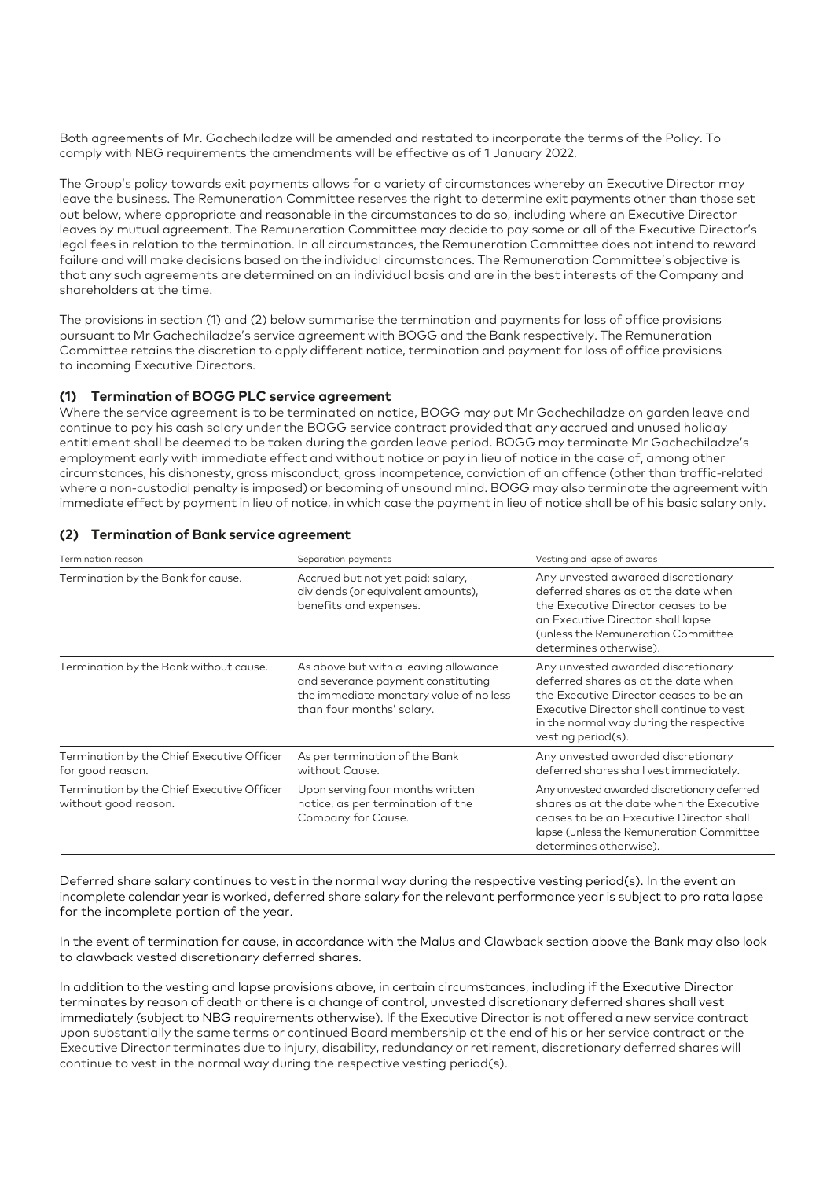Both agreements of Mr. Gachechiladze will be amended and restated to incorporate the terms of the Policy. To comply with NBG requirements the amendments will be effective as of 1 January 2022.

The Group's policy towards exit payments allows for a variety of circumstances whereby an Executive Director may leave the business. The Remuneration Committee reserves the right to determine exit payments other than those set out below, where appropriate and reasonable in the circumstances to do so, including where an Executive Director leaves by mutual agreement. The Remuneration Committee may decide to pay some or all of the Executive Director's legal fees in relation to the termination. In all circumstances, the Remuneration Committee does not intend to reward failure and will make decisions based on the individual circumstances. The Remuneration Committee's objective is that any such agreements are determined on an individual basis and are in the best interests of the Company and shareholders at the time.

The provisions in section (1) and (2) below summarise the termination and payments for loss of office provisions pursuant to Mr Gachechiladze's service agreement with BOGG and the Bank respectively. The Remuneration Committee retains the discretion to apply different notice, termination and payment for loss of office provisions to incoming Executive Directors.

#### **(1) Termination of BOGG PLC service agreement**

Where the service agreement is to be terminated on notice, BOGG may put Mr Gachechiladze on garden leave and continue to pay his cash salary under the BOGG service contract provided that any accrued and unused holiday entitlement shall be deemed to be taken during the garden leave period. BOGG may terminate Mr Gachechiladze's employment early with immediate effect and without notice or pay in lieu of notice in the case of, among other circumstances, his dishonesty, gross misconduct, gross incompetence, conviction of an offence (other than traffic-related where a non-custodial penalty is imposed) or becoming of unsound mind. BOGG may also terminate the agreement with immediate effect by payment in lieu of notice, in which case the payment in lieu of notice shall be of his basic salary only.

| Termination reason                                                 | Separation payments                                                                                                                                 | Vesting and lapse of awards                                                                                                                                                                                                       |
|--------------------------------------------------------------------|-----------------------------------------------------------------------------------------------------------------------------------------------------|-----------------------------------------------------------------------------------------------------------------------------------------------------------------------------------------------------------------------------------|
| Termination by the Bank for cause.                                 | Accrued but not yet paid: salary,<br>dividends (or equivalent amounts),<br>benefits and expenses.                                                   | Any unvested awarded discretionary<br>deferred shares as at the date when<br>the Executive Director ceases to be<br>an Executive Director shall lapse<br>(unless the Remuneration Committee<br>determines otherwise).             |
| Termination by the Bank without cause.                             | As above but with a leaving allowance<br>and severance payment constituting<br>the immediate monetary value of no less<br>than four months' salary. | Any unvested awarded discretionary<br>deferred shares as at the date when<br>the Executive Director ceases to be an<br>Executive Director shall continue to vest<br>in the normal way during the respective<br>vesting period(s). |
| Termination by the Chief Executive Officer<br>for good reason.     | As per termination of the Bank<br>without Cause.                                                                                                    | Any unvested awarded discretionary<br>deferred shares shall vest immediately.                                                                                                                                                     |
| Termination by the Chief Executive Officer<br>without good reason. | Upon serving four months written<br>notice, as per termination of the<br>Company for Cause.                                                         | Any unvested awarded discretionary deferred<br>shares as at the date when the Executive<br>ceases to be an Executive Director shall<br>lapse (unless the Remuneration Committee<br>determines otherwise).                         |

#### **(2) Termination of Bank service agreement**

Deferred share salary continues to vest in the normal way during the respective vesting period(s). In the event an incomplete calendar year is worked, deferred share salary for the relevant performance year is subject to pro rata lapse for the incomplete portion of the year.

In the event of termination for cause, in accordance with the Malus and Clawback section above the Bank may also look to clawback vested discretionary deferred shares.

In addition to the vesting and lapse provisions above, in certain circumstances, including if the Executive Director terminates by reason of death or there is a change of control, unvested discretionary deferred shares shall vest immediately (subject to NBG requirements otherwise). If the Executive Director is not offered a new service contract upon substantially the same terms or continued Board membership at the end of his or her service contract or the Executive Director terminates due to injury, disability, redundancy or retirement, discretionary deferred shares will continue to vest in the normal way during the respective vesting period(s).